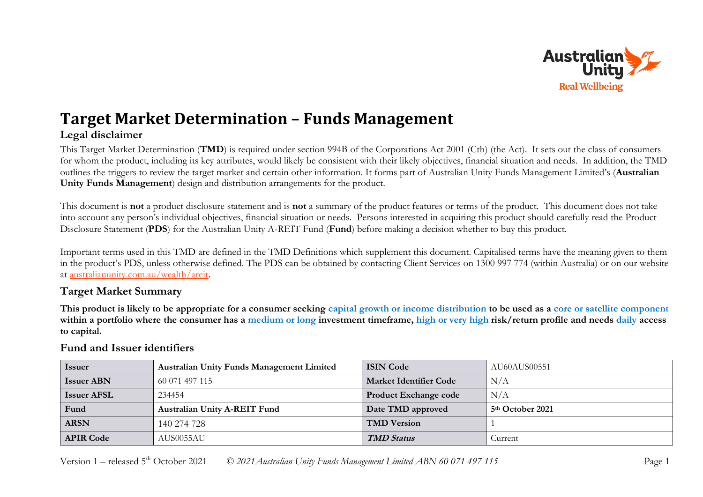

# **Target Market Determination – Funds Management Legal disclaimer**

This Target Market Determination (**TMD**) is required under section 994B of the Corporations Act 2001 (Cth) (the Act). It sets out the class of consumers for whom the product, including its key attributes, would likely be consistent with their likely objectives, financial situation and needs. In addition, the TMD outlines the triggers to review the target market and certain other information. It forms part of Australian Unity Funds Management Limited's (**Australian Unity Funds Management**) design and distribution arrangements for the product.

This document is **not** a product disclosure statement and is **not** a summary of the product features or terms of the product. This document does not take into account any person's individual objectives, financial situation or needs. Persons interested in acquiring this product should carefully read the Product Disclosure Statement (**PDS**) for the Australian Unity A-REIT Fund (**Fund**) before making a decision whether to buy this product.

Important terms used in this TMD are defined in the TMD Definitions which supplement this document. Capitalised terms have the meaning given to them in the product's PDS, unless otherwise defined. The PDS can be obtained by contacting Client Services on 1300 997 774 (within Australia) or on our website at [australianunity.com.au/wealth/areit.](https://www.australianunity.com.au/wealth/~/media/publicsite/documents/funds/australianunity/areit/pds.ashx)

## **Target Market Summary**

**This product is likely to be appropriate for a consumer seeking capital growth or income distribution to be used as a core or satellite component within a portfolio where the consumer has a medium or long investment timeframe, high or very high risk/return profile and needs daily access to capital.**

| <i>Issuer</i>      | <b>Australian Unity Funds Management Limited</b> | <b>ISIN Code</b>              | AU60AUS00551                 |
|--------------------|--------------------------------------------------|-------------------------------|------------------------------|
| <b>Issuer ABN</b>  | 60 071 497 115                                   | <b>Market Identifier Code</b> | N/A                          |
| <b>Issuer AFSL</b> | 234454                                           | <b>Product Exchange code</b>  | N/A                          |
| Fund               | <b>Australian Unity A-REIT Fund</b>              | Date TMD approved             | 5 <sup>th</sup> October 2021 |
| <b>ARSN</b>        | 140 274 728                                      | <b>TMD Version</b>            |                              |
| <b>APIR Code</b>   | AUS0055AU-                                       | <b>TMD Status</b>             | Current                      |

# **Fund and Issuer identifiers**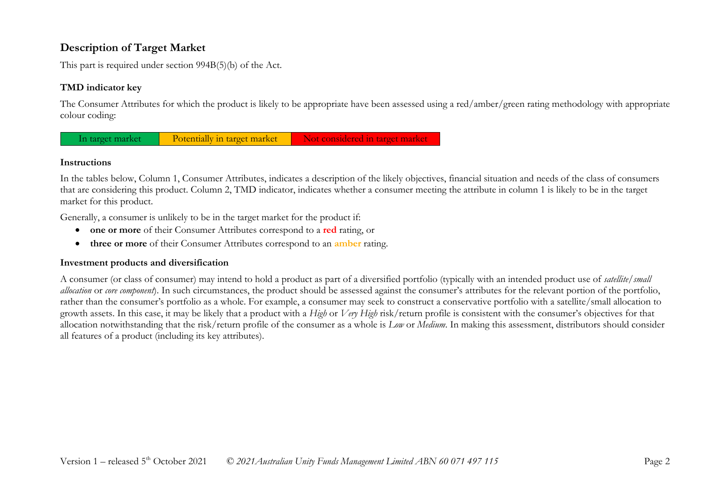# **Description of Target Market**

This part is required under section 994B(5)(b) of the Act.

### **TMD indicator key**

The Consumer Attributes for which the product is likely to be appropriate have been assessed using a red/amber/green rating methodology with appropriate colour coding:



#### **Instructions**

In the tables below, Column 1, Consumer Attributes, indicates a description of the likely objectives, financial situation and needs of the class of consumers that are considering this product. Column 2, TMD indicator, indicates whether a consumer meeting the attribute in column 1 is likely to be in the target market for this product.

Generally, a consumer is unlikely to be in the target market for the product if:

- **one or more** of their Consumer Attributes correspond to a **red** rating, or
- **three or more** of their Consumer Attributes correspond to an **amber** rating.

#### **Investment products and diversification**

A consumer (or class of consumer) may intend to hold a product as part of a diversified portfolio (typically with an intended product use of *satellite/small allocation* or *core component*). In such circumstances, the product should be assessed against the consumer's attributes for the relevant portion of the portfolio, rather than the consumer's portfolio as a whole. For example, a consumer may seek to construct a conservative portfolio with a satellite/small allocation to growth assets. In this case, it may be likely that a product with a *High* or *Very High* risk/return profile is consistent with the consumer's objectives for that allocation notwithstanding that the risk/return profile of the consumer as a whole is *Low* or *Medium*. In making this assessment, distributors should consider all features of a product (including its key attributes).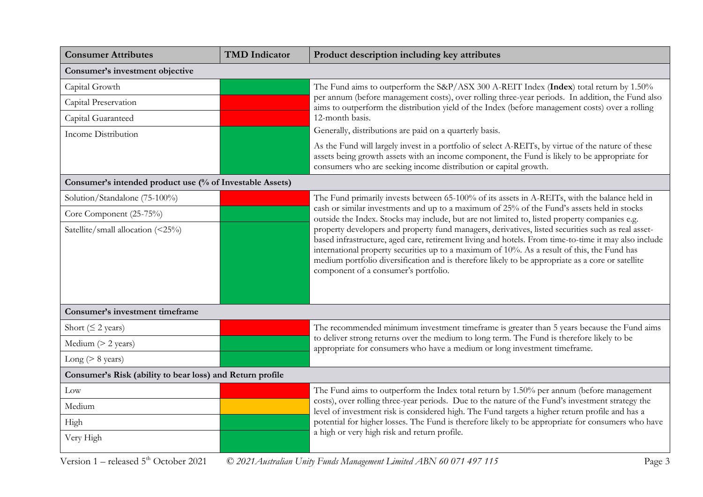| <b>Consumer Attributes</b>                                | <b>TMD</b> Indicator | Product description including key attributes                                                                                                                                                                                                                                                                                                                                                                                                           |
|-----------------------------------------------------------|----------------------|--------------------------------------------------------------------------------------------------------------------------------------------------------------------------------------------------------------------------------------------------------------------------------------------------------------------------------------------------------------------------------------------------------------------------------------------------------|
| Consumer's investment objective                           |                      |                                                                                                                                                                                                                                                                                                                                                                                                                                                        |
| Capital Growth                                            |                      | The Fund aims to outperform the S&P/ASX 300 A-REIT Index (Index) total return by 1.50%                                                                                                                                                                                                                                                                                                                                                                 |
| Capital Preservation                                      |                      | per annum (before management costs), over rolling three-year periods. In addition, the Fund also<br>aims to outperform the distribution yield of the Index (before management costs) over a rolling                                                                                                                                                                                                                                                    |
| Capital Guaranteed                                        |                      | 12-month basis.                                                                                                                                                                                                                                                                                                                                                                                                                                        |
| <b>Income Distribution</b>                                |                      | Generally, distributions are paid on a quarterly basis.                                                                                                                                                                                                                                                                                                                                                                                                |
|                                                           |                      | As the Fund will largely invest in a portfolio of select A-REITs, by virtue of the nature of these<br>assets being growth assets with an income component, the Fund is likely to be appropriate for<br>consumers who are seeking income distribution or capital growth.                                                                                                                                                                                |
| Consumer's intended product use (% of Investable Assets)  |                      |                                                                                                                                                                                                                                                                                                                                                                                                                                                        |
| Solution/Standalone (75-100%)                             |                      | The Fund primarily invests between 65-100% of its assets in A-REITs, with the balance held in                                                                                                                                                                                                                                                                                                                                                          |
| Core Component (25-75%)                                   |                      | cash or similar investments and up to a maximum of 25% of the Fund's assets held in stocks<br>outside the Index. Stocks may include, but are not limited to, listed property companies e.g.                                                                                                                                                                                                                                                            |
| Satellite/small allocation (<25%)                         |                      | property developers and property fund managers, derivatives, listed securities such as real asset-<br>based infrastructure, aged care, retirement living and hotels. From time-to-time it may also include<br>international property securities up to a maximum of 10%. As a result of this, the Fund has<br>medium portfolio diversification and is therefore likely to be appropriate as a core or satellite<br>component of a consumer's portfolio. |
| Consumer's investment timeframe                           |                      |                                                                                                                                                                                                                                                                                                                                                                                                                                                        |
| Short ( $\leq$ 2 years)                                   |                      | The recommended minimum investment timeframe is greater than 5 years because the Fund aims                                                                                                                                                                                                                                                                                                                                                             |
| Medium $(> 2$ years)                                      |                      | to deliver strong returns over the medium to long term. The Fund is therefore likely to be<br>appropriate for consumers who have a medium or long investment timeframe.                                                                                                                                                                                                                                                                                |
| Long ( $> 8$ years)                                       |                      |                                                                                                                                                                                                                                                                                                                                                                                                                                                        |
| Consumer's Risk (ability to bear loss) and Return profile |                      |                                                                                                                                                                                                                                                                                                                                                                                                                                                        |
| Low                                                       |                      | The Fund aims to outperform the Index total return by 1.50% per annum (before management<br>costs), over rolling three-year periods. Due to the nature of the Fund's investment strategy the<br>level of investment risk is considered high. The Fund targets a higher return profile and has a<br>potential for higher losses. The Fund is therefore likely to be appropriate for consumers who have                                                  |
| Medium                                                    |                      |                                                                                                                                                                                                                                                                                                                                                                                                                                                        |
| High                                                      |                      |                                                                                                                                                                                                                                                                                                                                                                                                                                                        |
| Very High                                                 |                      | a high or very high risk and return profile.                                                                                                                                                                                                                                                                                                                                                                                                           |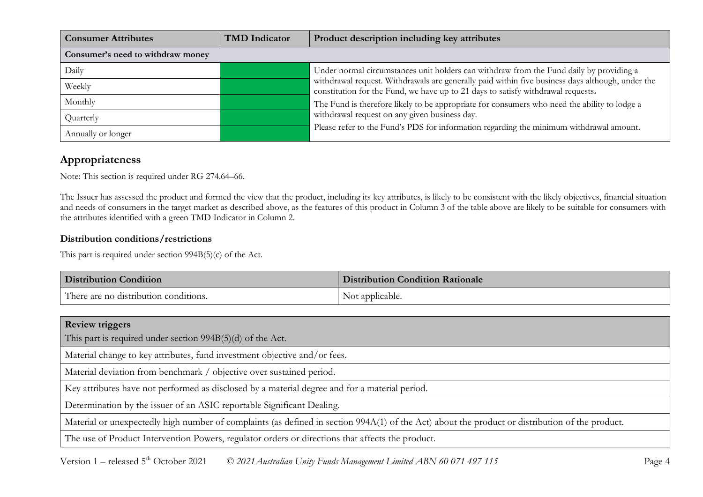| <b>Consumer Attributes</b>        | <b>TMD</b> Indicator | Product description including key attributes                                                                                                                                                                                                                                                                                          |  |
|-----------------------------------|----------------------|---------------------------------------------------------------------------------------------------------------------------------------------------------------------------------------------------------------------------------------------------------------------------------------------------------------------------------------|--|
| Consumer's need to withdraw money |                      |                                                                                                                                                                                                                                                                                                                                       |  |
| Daily                             |                      | Under normal circumstances unit holders can withdraw from the Fund daily by providing a                                                                                                                                                                                                                                               |  |
| Weekly                            |                      | withdrawal request. Withdrawals are generally paid within five business days although, under the<br>constitution for the Fund, we have up to 21 days to satisfy withdrawal requests.<br>The Fund is therefore likely to be appropriate for consumers who need the ability to lodge a<br>withdrawal request on any given business day. |  |
| Monthly                           |                      |                                                                                                                                                                                                                                                                                                                                       |  |
| Quarterly                         |                      |                                                                                                                                                                                                                                                                                                                                       |  |
| Annually or longer                |                      | Please refer to the Fund's PDS for information regarding the minimum withdrawal amount.                                                                                                                                                                                                                                               |  |

# **Appropriateness**

Note: This section is required under RG 274.64–66.

The Issuer has assessed the product and formed the view that the product, including its key attributes, is likely to be consistent with the likely objectives, financial situation and needs of consumers in the target market as described above, as the features of this product in Column 3 of the table above are likely to be suitable for consumers with the attributes identified with a green TMD Indicator in Column 2.

#### **Distribution conditions/restrictions**

This part is required under section 994B(5)(c) of the Act.

| <b>Distribution Condition</b>         | <b>Distribution Condition Rationale</b> |
|---------------------------------------|-----------------------------------------|
| There are no distribution conditions. | Not applicable.                         |

| <b>Review triggers</b>                                                                                                                          |  |  |
|-------------------------------------------------------------------------------------------------------------------------------------------------|--|--|
| This part is required under section $994B(5)(d)$ of the Act.                                                                                    |  |  |
| Material change to key attributes, fund investment objective and/or fees.                                                                       |  |  |
| Material deviation from benchmark / objective over sustained period.                                                                            |  |  |
| Key attributes have not performed as disclosed by a material degree and for a material period.                                                  |  |  |
| Determination by the issuer of an ASIC reportable Significant Dealing.                                                                          |  |  |
| Material or unexpectedly high number of complaints (as defined in section 994A(1) of the Act) about the product or distribution of the product. |  |  |
| The use of Product Intervention Powers, regulator orders or directions that affects the product.                                                |  |  |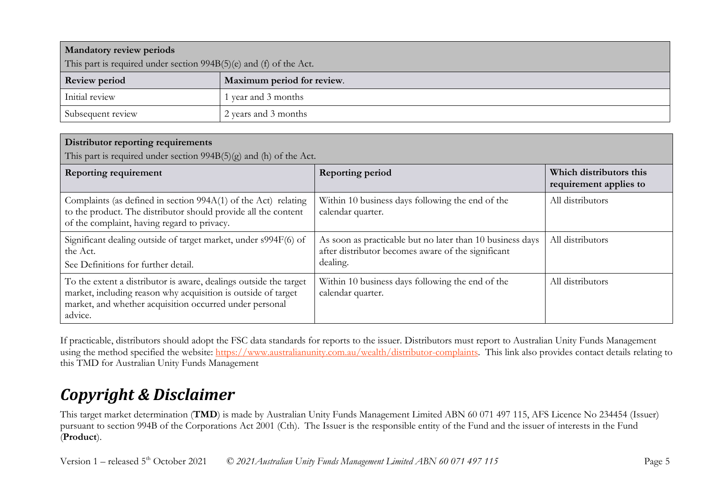| <b>Mandatory review periods</b>                                    |                            |  |
|--------------------------------------------------------------------|----------------------------|--|
| This part is required under section 994B(5)(e) and (f) of the Act. |                            |  |
| <b>Review period</b>                                               | Maximum period for review. |  |
| Initial review                                                     | 1 year and 3 months        |  |
| Subsequent review                                                  | 2 years and 3 months       |  |

### **Distributor reporting requirements**

This part is required under section 994B(5)(g) and (h) of the Act.

| <b>Reporting requirement</b>                                                                                                                                                                             | <b>Reporting period</b>                                                                                                     | Which distributors this<br>requirement applies to |
|----------------------------------------------------------------------------------------------------------------------------------------------------------------------------------------------------------|-----------------------------------------------------------------------------------------------------------------------------|---------------------------------------------------|
| Complaints (as defined in section 994A(1) of the Act) relating<br>to the product. The distributor should provide all the content<br>of the complaint, having regard to privacy.                          | Within 10 business days following the end of the<br>calendar quarter.                                                       | All distributors                                  |
| Significant dealing outside of target market, under s994F(6) of<br>the Act.<br>See Definitions for further detail.                                                                                       | As soon as practicable but no later than 10 business days<br>after distributor becomes aware of the significant<br>dealing. | All distributors                                  |
| To the extent a distributor is aware, dealings outside the target<br>market, including reason why acquisition is outside of target<br>market, and whether acquisition occurred under personal<br>advice. | Within 10 business days following the end of the<br>calendar quarter.                                                       | All distributors                                  |

If practicable, distributors should adopt the FSC data standards for reports to the issuer. Distributors must report to Australian Unity Funds Management using the method specified the website: [https://www.australianunity.com.au/wealth/distributor-complaints.](https://www.australianunity.com.au/wealth/distributor-complaints) This link also provides contact details relating to this TMD for Australian Unity Funds Management

# *Copyright & Disclaimer*

This target market determination (**TMD**) is made by Australian Unity Funds Management Limited ABN 60 071 497 115, AFS Licence No 234454 (Issuer) pursuant to section 994B of the Corporations Act 2001 (Cth). The Issuer is the responsible entity of the Fund and the issuer of interests in the Fund (**Product**).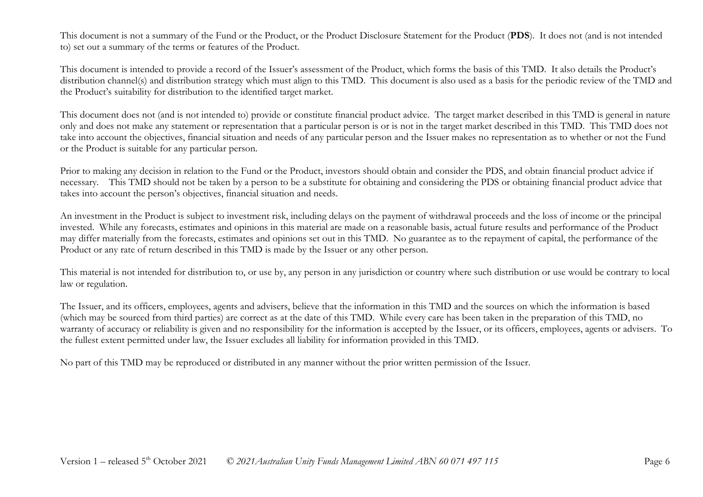This document is not a summary of the Fund or the Product, or the Product Disclosure Statement for the Product (**PDS**). It does not (and is not intended to) set out a summary of the terms or features of the Product.

This document is intended to provide a record of the Issuer's assessment of the Product, which forms the basis of this TMD. It also details the Product's distribution channel(s) and distribution strategy which must align to this TMD. This document is also used as a basis for the periodic review of the TMD and the Product's suitability for distribution to the identified target market.

This document does not (and is not intended to) provide or constitute financial product advice. The target market described in this TMD is general in nature only and does not make any statement or representation that a particular person is or is not in the target market described in this TMD. This TMD does not take into account the objectives, financial situation and needs of any particular person and the Issuer makes no representation as to whether or not the Fund or the Product is suitable for any particular person.

Prior to making any decision in relation to the Fund or the Product, investors should obtain and consider the PDS, and obtain financial product advice if necessary. This TMD should not be taken by a person to be a substitute for obtaining and considering the PDS or obtaining financial product advice that takes into account the person's objectives, financial situation and needs.

An investment in the Product is subject to investment risk, including delays on the payment of withdrawal proceeds and the loss of income or the principal invested. While any forecasts, estimates and opinions in this material are made on a reasonable basis, actual future results and performance of the Product may differ materially from the forecasts, estimates and opinions set out in this TMD. No guarantee as to the repayment of capital, the performance of the Product or any rate of return described in this TMD is made by the Issuer or any other person.

This material is not intended for distribution to, or use by, any person in any jurisdiction or country where such distribution or use would be contrary to local law or regulation.

The Issuer, and its officers, employees, agents and advisers, believe that the information in this TMD and the sources on which the information is based (which may be sourced from third parties) are correct as at the date of this TMD. While every care has been taken in the preparation of this TMD, no warranty of accuracy or reliability is given and no responsibility for the information is accepted by the Issuer, or its officers, employees, agents or advisers. To the fullest extent permitted under law, the Issuer excludes all liability for information provided in this TMD.

No part of this TMD may be reproduced or distributed in any manner without the prior written permission of the Issuer.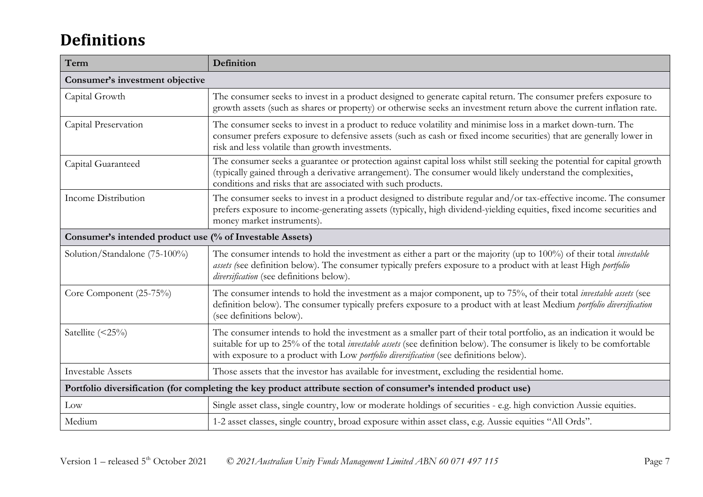# **Definitions**

| Term                                                                                                            | Definition                                                                                                                                                                                                                                                                                                                                      |  |
|-----------------------------------------------------------------------------------------------------------------|-------------------------------------------------------------------------------------------------------------------------------------------------------------------------------------------------------------------------------------------------------------------------------------------------------------------------------------------------|--|
| Consumer's investment objective                                                                                 |                                                                                                                                                                                                                                                                                                                                                 |  |
| Capital Growth                                                                                                  | The consumer seeks to invest in a product designed to generate capital return. The consumer prefers exposure to<br>growth assets (such as shares or property) or otherwise seeks an investment return above the current inflation rate.                                                                                                         |  |
| Capital Preservation                                                                                            | The consumer seeks to invest in a product to reduce volatility and minimise loss in a market down-turn. The<br>consumer prefers exposure to defensive assets (such as cash or fixed income securities) that are generally lower in<br>risk and less volatile than growth investments.                                                           |  |
| Capital Guaranteed                                                                                              | The consumer seeks a guarantee or protection against capital loss whilst still seeking the potential for capital growth<br>(typically gained through a derivative arrangement). The consumer would likely understand the complexities,<br>conditions and risks that are associated with such products.                                          |  |
| Income Distribution                                                                                             | The consumer seeks to invest in a product designed to distribute regular and/or tax-effective income. The consumer<br>prefers exposure to income-generating assets (typically, high dividend-yielding equities, fixed income securities and<br>money market instruments).                                                                       |  |
| Consumer's intended product use (% of Investable Assets)                                                        |                                                                                                                                                                                                                                                                                                                                                 |  |
| Solution/Standalone (75-100%)                                                                                   | The consumer intends to hold the investment as either a part or the majority (up to 100%) of their total <i>investable</i><br>assets (see definition below). The consumer typically prefers exposure to a product with at least High portfolio<br>diversification (see definitions below).                                                      |  |
| Core Component (25-75%)                                                                                         | The consumer intends to hold the investment as a major component, up to 75%, of their total <i>investable assets</i> (see<br>definition below). The consumer typically prefers exposure to a product with at least Medium portfolio diversification<br>(see definitions below).                                                                 |  |
| Satellite $(\leq 25\%)$                                                                                         | The consumer intends to hold the investment as a smaller part of their total portfolio, as an indication it would be<br>suitable for up to 25% of the total <i>investable assets</i> (see definition below). The consumer is likely to be comfortable<br>with exposure to a product with Low portfolio diversification (see definitions below). |  |
| <b>Investable Assets</b>                                                                                        | Those assets that the investor has available for investment, excluding the residential home.                                                                                                                                                                                                                                                    |  |
| Portfolio diversification (for completing the key product attribute section of consumer's intended product use) |                                                                                                                                                                                                                                                                                                                                                 |  |
| Low                                                                                                             | Single asset class, single country, low or moderate holdings of securities - e.g. high conviction Aussie equities.                                                                                                                                                                                                                              |  |
| Medium                                                                                                          | 1-2 asset classes, single country, broad exposure within asset class, e.g. Aussie equities "All Ords".                                                                                                                                                                                                                                          |  |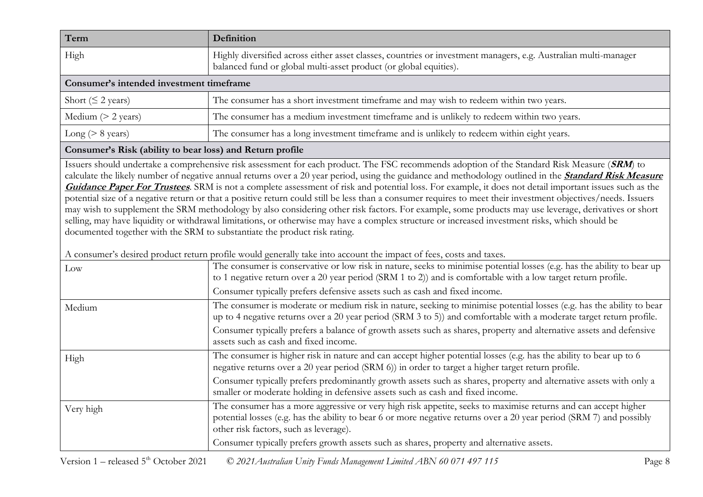| Term                                     | Definition                                                                                                                                                                           |  |
|------------------------------------------|--------------------------------------------------------------------------------------------------------------------------------------------------------------------------------------|--|
| High                                     | Highly diversified across either asset classes, countries or investment managers, e.g. Australian multi-manager<br>balanced fund or global multi-asset product (or global equities). |  |
| Consumer's intended investment timeframe |                                                                                                                                                                                      |  |
| Short ( $\leq$ 2 years)                  | The consumer has a short investment timeframe and may wish to redeem within two years.                                                                                               |  |
| Medium $(> 2$ years)                     | The consumer has a medium investment timeframe and is unlikely to redeem within two years.                                                                                           |  |
| Long ( $> 8$ years)                      | The consumer has a long investment timeframe and is unlikely to redeem within eight years.                                                                                           |  |

#### **Consumer's Risk (ability to bear loss) and Return profile**

Issuers should undertake a comprehensive risk assessment for each product. The FSC recommends adoption of the Standard Risk Measure (**SRM**) to calculate the likely number of negative annual returns over a 20 year period, using the guidance and methodology outlined in the **[Standard Risk Measure](https://protect-eu.mimecast.com/s/pqPaCwVNmtGRQpvMFVpVgu?domain=urldefense.com)  [Guidance Paper For Trustees](https://protect-eu.mimecast.com/s/pqPaCwVNmtGRQpvMFVpVgu?domain=urldefense.com)**. SRM is not a complete assessment of risk and potential loss. For example, it does not detail important issues such as the potential size of a negative return or that a positive return could still be less than a consumer requires to meet their investment objectives/needs. Issuers may wish to supplement the SRM methodology by also considering other risk factors. For example, some products may use leverage, derivatives or short selling, may have liquidity or withdrawal limitations, or otherwise may have a complex structure or increased investment risks, which should be documented together with the SRM to substantiate the product risk rating.

A consumer's desired product return profile would generally take into account the impact of fees, costs and taxes.

| Low       | The consumer is conservative or low risk in nature, seeks to minimise potential losses (e.g. has the ability to bear up<br>to 1 negative return over a 20 year period (SRM 1 to 2)) and is comfortable with a low target return profile.<br>Consumer typically prefers defensive assets such as cash and fixed income. |
|-----------|------------------------------------------------------------------------------------------------------------------------------------------------------------------------------------------------------------------------------------------------------------------------------------------------------------------------|
| Medium    | The consumer is moderate or medium risk in nature, seeking to minimise potential losses (e.g. has the ability to bear<br>up to 4 negative returns over a 20 year period (SRM 3 to 5)) and comfortable with a moderate target return profile.                                                                           |
|           | Consumer typically prefers a balance of growth assets such as shares, property and alternative assets and defensive<br>assets such as cash and fixed income.                                                                                                                                                           |
| High      | The consumer is higher risk in nature and can accept higher potential losses (e.g. has the ability to bear up to 6<br>negative returns over a 20 year period (SRM 6)) in order to target a higher target return profile.                                                                                               |
|           | Consumer typically prefers predominantly growth assets such as shares, property and alternative assets with only a<br>smaller or moderate holding in defensive assets such as cash and fixed income.                                                                                                                   |
| Very high | The consumer has a more aggressive or very high risk appetite, seeks to maximise returns and can accept higher<br>potential losses (e.g. has the ability to bear 6 or more negative returns over a 20 year period (SRM 7) and possibly<br>other risk factors, such as leverage).                                       |
|           | Consumer typically prefers growth assets such as shares, property and alternative assets.                                                                                                                                                                                                                              |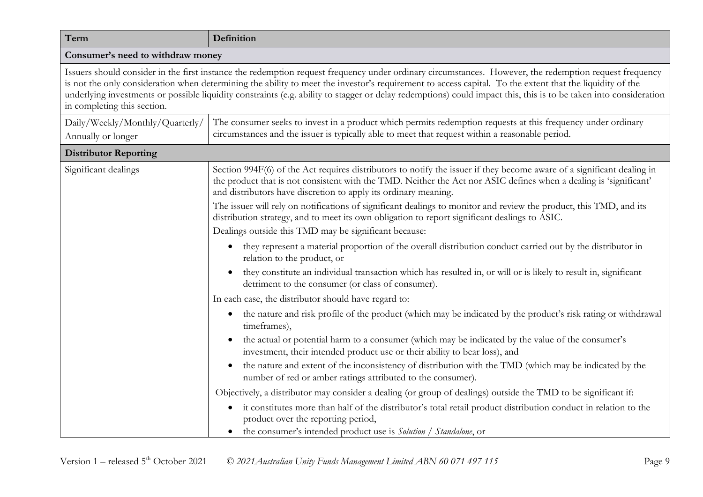| Term                                                                                                                                                                                                                                                                                                                                                                                                                                                                                                                   | Definition                                                                                                                                                                                                                                                                                                     |  |
|------------------------------------------------------------------------------------------------------------------------------------------------------------------------------------------------------------------------------------------------------------------------------------------------------------------------------------------------------------------------------------------------------------------------------------------------------------------------------------------------------------------------|----------------------------------------------------------------------------------------------------------------------------------------------------------------------------------------------------------------------------------------------------------------------------------------------------------------|--|
| Consumer's need to withdraw money                                                                                                                                                                                                                                                                                                                                                                                                                                                                                      |                                                                                                                                                                                                                                                                                                                |  |
| Issuers should consider in the first instance the redemption request frequency under ordinary circumstances. However, the redemption request frequency<br>is not the only consideration when determining the ability to meet the investor's requirement to access capital. To the extent that the liquidity of the<br>underlying investments or possible liquidity constraints (e.g. ability to stagger or delay redemptions) could impact this, this is to be taken into consideration<br>in completing this section. |                                                                                                                                                                                                                                                                                                                |  |
| Daily/Weekly/Monthly/Quarterly/<br>Annually or longer                                                                                                                                                                                                                                                                                                                                                                                                                                                                  | The consumer seeks to invest in a product which permits redemption requests at this frequency under ordinary<br>circumstances and the issuer is typically able to meet that request within a reasonable period.                                                                                                |  |
| <b>Distributor Reporting</b>                                                                                                                                                                                                                                                                                                                                                                                                                                                                                           |                                                                                                                                                                                                                                                                                                                |  |
| Significant dealings                                                                                                                                                                                                                                                                                                                                                                                                                                                                                                   | Section 994F(6) of the Act requires distributors to notify the issuer if they become aware of a significant dealing in<br>the product that is not consistent with the TMD. Neither the Act nor ASIC defines when a dealing is 'significant'<br>and distributors have discretion to apply its ordinary meaning. |  |
|                                                                                                                                                                                                                                                                                                                                                                                                                                                                                                                        | The issuer will rely on notifications of significant dealings to monitor and review the product, this TMD, and its<br>distribution strategy, and to meet its own obligation to report significant dealings to ASIC.<br>Dealings outside this TMD may be significant because:                                   |  |
|                                                                                                                                                                                                                                                                                                                                                                                                                                                                                                                        | they represent a material proportion of the overall distribution conduct carried out by the distributor in<br>$\bullet$<br>relation to the product, or                                                                                                                                                         |  |
|                                                                                                                                                                                                                                                                                                                                                                                                                                                                                                                        | they constitute an individual transaction which has resulted in, or will or is likely to result in, significant<br>detriment to the consumer (or class of consumer).                                                                                                                                           |  |
|                                                                                                                                                                                                                                                                                                                                                                                                                                                                                                                        | In each case, the distributor should have regard to:                                                                                                                                                                                                                                                           |  |
|                                                                                                                                                                                                                                                                                                                                                                                                                                                                                                                        | the nature and risk profile of the product (which may be indicated by the product's risk rating or withdrawal<br>$\bullet$<br>timeframes),                                                                                                                                                                     |  |
|                                                                                                                                                                                                                                                                                                                                                                                                                                                                                                                        | the actual or potential harm to a consumer (which may be indicated by the value of the consumer's<br>investment, their intended product use or their ability to bear loss), and                                                                                                                                |  |
|                                                                                                                                                                                                                                                                                                                                                                                                                                                                                                                        | the nature and extent of the inconsistency of distribution with the TMD (which may be indicated by the<br>$\bullet$<br>number of red or amber ratings attributed to the consumer).                                                                                                                             |  |
|                                                                                                                                                                                                                                                                                                                                                                                                                                                                                                                        | Objectively, a distributor may consider a dealing (or group of dealings) outside the TMD to be significant if:                                                                                                                                                                                                 |  |
|                                                                                                                                                                                                                                                                                                                                                                                                                                                                                                                        | it constitutes more than half of the distributor's total retail product distribution conduct in relation to the<br>$\bullet$<br>product over the reporting period,<br>the consumer's intended product use is Solution / Standalone, or                                                                         |  |